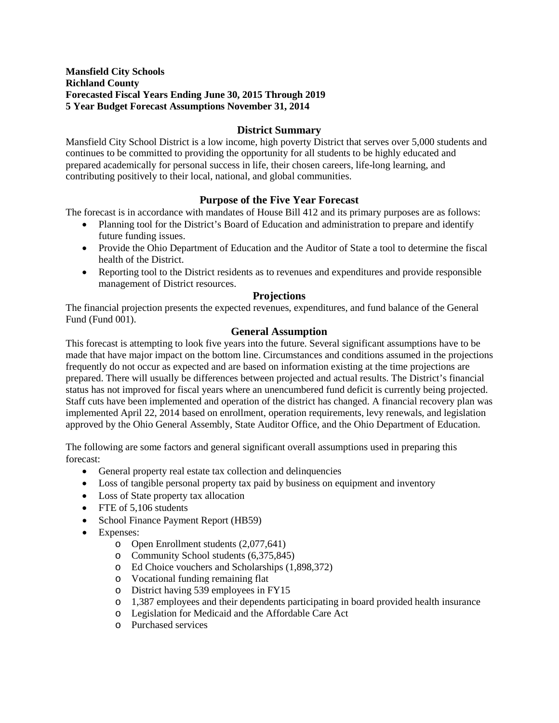## **Mansfield City Schools Richland County Forecasted Fiscal Years Ending June 30, 2015 Through 2019 5 Year Budget Forecast Assumptions November 31, 2014**

# **District Summary**

Mansfield City School District is a low income, high poverty District that serves over 5,000 students and continues to be committed to providing the opportunity for all students to be highly educated and prepared academically for personal success in life, their chosen careers, life-long learning, and contributing positively to their local, national, and global communities.

# **Purpose of the Five Year Forecast**

The forecast is in accordance with mandates of House Bill 412 and its primary purposes are as follows:

- Planning tool for the District's Board of Education and administration to prepare and identify future funding issues.
- Provide the Ohio Department of Education and the Auditor of State a tool to determine the fiscal health of the District.
- Reporting tool to the District residents as to revenues and expenditures and provide responsible management of District resources.

### **Projections**

The financial projection presents the expected revenues, expenditures, and fund balance of the General Fund (Fund 001).

# **General Assumption**

This forecast is attempting to look five years into the future. Several significant assumptions have to be made that have major impact on the bottom line. Circumstances and conditions assumed in the projections frequently do not occur as expected and are based on information existing at the time projections are prepared. There will usually be differences between projected and actual results. The District's financial status has not improved for fiscal years where an unencumbered fund deficit is currently being projected. Staff cuts have been implemented and operation of the district has changed. A financial recovery plan was implemented April 22, 2014 based on enrollment, operation requirements, levy renewals, and legislation approved by the Ohio General Assembly, State Auditor Office, and the Ohio Department of Education.

The following are some factors and general significant overall assumptions used in preparing this forecast:

- General property real estate tax collection and delinquencies
- Loss of tangible personal property tax paid by business on equipment and inventory
- Loss of State property tax allocation
- FTE of 5,106 students
- School Finance Payment Report (HB59)
- Expenses:
	- o Open Enrollment students (2,077,641)
	- o Community School students (6,375,845)
	- o Ed Choice vouchers and Scholarships (1,898,372)
	- o Vocational funding remaining flat
	- o District having 539 employees in FY15
	- o 1,387 employees and their dependents participating in board provided health insurance
	- o Legislation for Medicaid and the Affordable Care Act
	- o Purchased services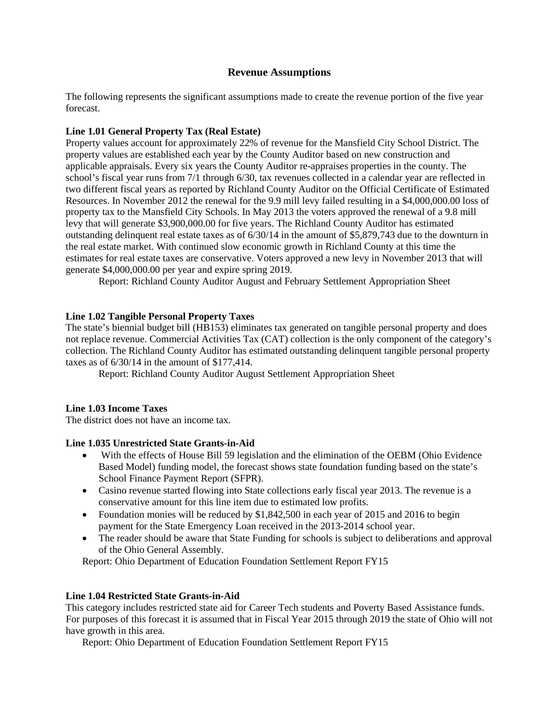# **Revenue Assumptions**

The following represents the significant assumptions made to create the revenue portion of the five year forecast.

# **Line 1.01 General Property Tax (Real Estate)**

Property values account for approximately 22% of revenue for the Mansfield City School District. The property values are established each year by the County Auditor based on new construction and applicable appraisals. Every six years the County Auditor re-appraises properties in the county. The school's fiscal year runs from 7/1 through 6/30, tax revenues collected in a calendar year are reflected in two different fiscal years as reported by Richland County Auditor on the Official Certificate of Estimated Resources. In November 2012 the renewal for the 9.9 mill levy failed resulting in a \$4,000,000.00 loss of property tax to the Mansfield City Schools. In May 2013 the voters approved the renewal of a 9.8 mill levy that will generate \$3,900,000.00 for five years. The Richland County Auditor has estimated outstanding delinquent real estate taxes as of 6/30/14 in the amount of \$5,879,743 due to the downturn in the real estate market. With continued slow economic growth in Richland County at this time the estimates for real estate taxes are conservative. Voters approved a new levy in November 2013 that will generate \$4,000,000.00 per year and expire spring 2019.

Report: Richland County Auditor August and February Settlement Appropriation Sheet

# **Line 1.02 Tangible Personal Property Taxes**

The state's biennial budget bill (HB153) eliminates tax generated on tangible personal property and does not replace revenue. Commercial Activities Tax (CAT) collection is the only component of the category's collection. The Richland County Auditor has estimated outstanding delinquent tangible personal property taxes as of 6/30/14 in the amount of \$177,414.

Report: Richland County Auditor August Settlement Appropriation Sheet

### **Line 1.03 Income Taxes**

The district does not have an income tax.

### **Line 1.035 Unrestricted State Grants-in-Aid**

- With the effects of House Bill 59 legislation and the elimination of the OEBM (Ohio Evidence Based Model) funding model, the forecast shows state foundation funding based on the state's School Finance Payment Report (SFPR).
- Casino revenue started flowing into State collections early fiscal year 2013. The revenue is a conservative amount for this line item due to estimated low profits.
- Foundation monies will be reduced by \$1,842,500 in each year of 2015 and 2016 to begin payment for the State Emergency Loan received in the 2013-2014 school year.
- The reader should be aware that State Funding for schools is subject to deliberations and approval of the Ohio General Assembly.

Report: Ohio Department of Education Foundation Settlement Report FY15

### **Line 1.04 Restricted State Grants-in-Aid**

This category includes restricted state aid for Career Tech students and Poverty Based Assistance funds. For purposes of this forecast it is assumed that in Fiscal Year 2015 through 2019 the state of Ohio will not have growth in this area.

Report: Ohio Department of Education Foundation Settlement Report FY15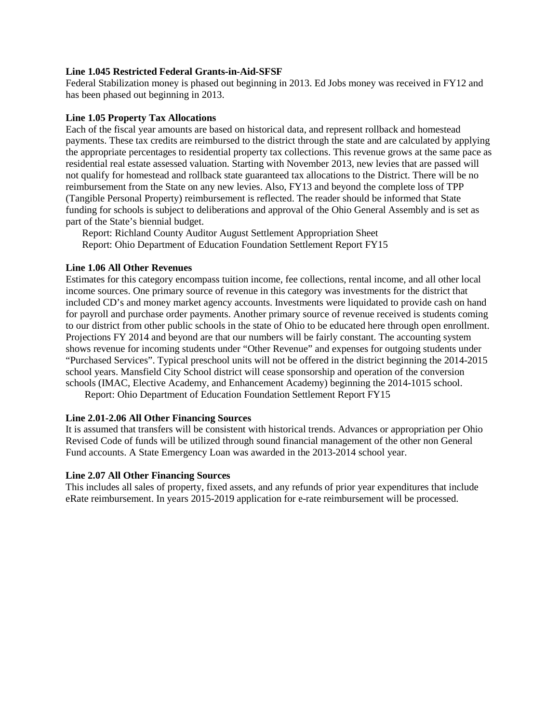### **Line 1.045 Restricted Federal Grants-in-Aid-SFSF**

Federal Stabilization money is phased out beginning in 2013. Ed Jobs money was received in FY12 and has been phased out beginning in 2013.

### **Line 1.05 Property Tax Allocations**

Each of the fiscal year amounts are based on historical data, and represent rollback and homestead payments. These tax credits are reimbursed to the district through the state and are calculated by applying the appropriate percentages to residential property tax collections. This revenue grows at the same pace as residential real estate assessed valuation. Starting with November 2013, new levies that are passed will not qualify for homestead and rollback state guaranteed tax allocations to the District. There will be no reimbursement from the State on any new levies. Also, FY13 and beyond the complete loss of TPP (Tangible Personal Property) reimbursement is reflected. The reader should be informed that State funding for schools is subject to deliberations and approval of the Ohio General Assembly and is set as part of the State's biennial budget.

Report: Richland County Auditor August Settlement Appropriation Sheet Report: Ohio Department of Education Foundation Settlement Report FY15

### **Line 1.06 All Other Revenues**

Estimates for this category encompass tuition income, fee collections, rental income, and all other local income sources. One primary source of revenue in this category was investments for the district that included CD's and money market agency accounts. Investments were liquidated to provide cash on hand for payroll and purchase order payments. Another primary source of revenue received is students coming to our district from other public schools in the state of Ohio to be educated here through open enrollment. Projections FY 2014 and beyond are that our numbers will be fairly constant. The accounting system shows revenue for incoming students under "Other Revenue" and expenses for outgoing students under "Purchased Services". Typical preschool units will not be offered in the district beginning the 2014-2015 school years. Mansfield City School district will cease sponsorship and operation of the conversion schools (IMAC, Elective Academy, and Enhancement Academy) beginning the 2014-1015 school.

Report: Ohio Department of Education Foundation Settlement Report FY15

### **Line 2.01-2.06 All Other Financing Sources**

It is assumed that transfers will be consistent with historical trends. Advances or appropriation per Ohio Revised Code of funds will be utilized through sound financial management of the other non General Fund accounts. A State Emergency Loan was awarded in the 2013-2014 school year.

### **Line 2.07 All Other Financing Sources**

This includes all sales of property, fixed assets, and any refunds of prior year expenditures that include eRate reimbursement. In years 2015-2019 application for e-rate reimbursement will be processed.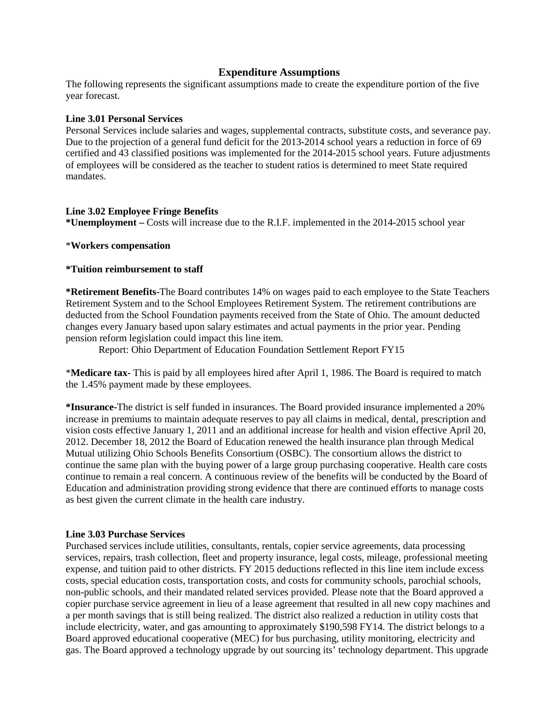### **Expenditure Assumptions**

The following represents the significant assumptions made to create the expenditure portion of the five year forecast.

#### **Line 3.01 Personal Services**

Personal Services include salaries and wages, supplemental contracts, substitute costs, and severance pay. Due to the projection of a general fund deficit for the 2013-2014 school years a reduction in force of 69 certified and 43 classified positions was implemented for the 2014-2015 school years. Future adjustments of employees will be considered as the teacher to student ratios is determined to meet State required mandates.

#### **Line 3.02 Employee Fringe Benefits**

**\*Unemployment –** Costs will increase due to the R.I.F. implemented in the 2014-2015 school year

#### \***Workers compensation**

#### **\*Tuition reimbursement to staff**

**\*Retirement Benefits**-The Board contributes 14% on wages paid to each employee to the State Teachers Retirement System and to the School Employees Retirement System. The retirement contributions are deducted from the School Foundation payments received from the State of Ohio. The amount deducted changes every January based upon salary estimates and actual payments in the prior year. Pending pension reform legislation could impact this line item.

Report: Ohio Department of Education Foundation Settlement Report FY15

\***Medicare tax-** This is paid by all employees hired after April 1, 1986. The Board is required to match the 1.45% payment made by these employees.

**\*Insurance-**The district is self funded in insurances. The Board provided insurance implemented a 20% increase in premiums to maintain adequate reserves to pay all claims in medical, dental, prescription and vision costs effective January 1, 2011 and an additional increase for health and vision effective April 20, 2012. December 18, 2012 the Board of Education renewed the health insurance plan through Medical Mutual utilizing Ohio Schools Benefits Consortium (OSBC). The consortium allows the district to continue the same plan with the buying power of a large group purchasing cooperative. Health care costs continue to remain a real concern. A continuous review of the benefits will be conducted by the Board of Education and administration providing strong evidence that there are continued efforts to manage costs as best given the current climate in the health care industry.

### **Line 3.03 Purchase Services**

Purchased services include utilities, consultants, rentals, copier service agreements, data processing services, repairs, trash collection, fleet and property insurance, legal costs, mileage, professional meeting expense, and tuition paid to other districts. FY 2015 deductions reflected in this line item include excess costs, special education costs, transportation costs, and costs for community schools, parochial schools, non-public schools, and their mandated related services provided. Please note that the Board approved a copier purchase service agreement in lieu of a lease agreement that resulted in all new copy machines and a per month savings that is still being realized. The district also realized a reduction in utility costs that include electricity, water, and gas amounting to approximately \$190,598 FY14. The district belongs to a Board approved educational cooperative (MEC) for bus purchasing, utility monitoring, electricity and gas. The Board approved a technology upgrade by out sourcing its' technology department. This upgrade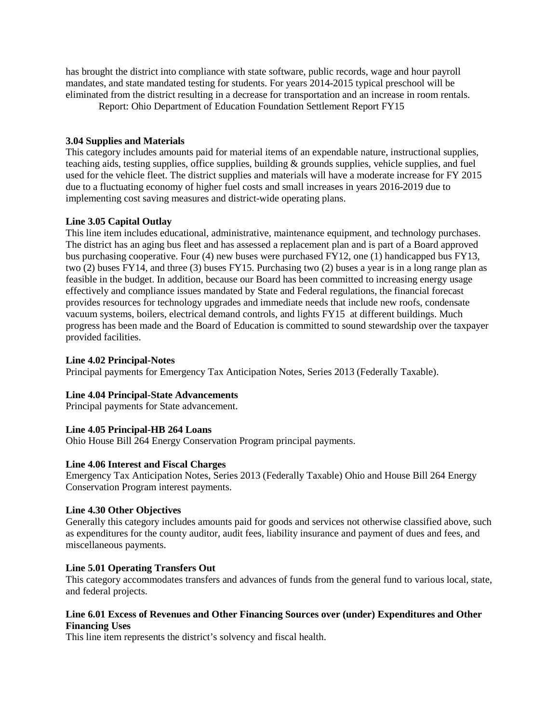has brought the district into compliance with state software, public records, wage and hour payroll mandates, and state mandated testing for students. For years 2014-2015 typical preschool will be eliminated from the district resulting in a decrease for transportation and an increase in room rentals.

Report: Ohio Department of Education Foundation Settlement Report FY15

### **3.04 Supplies and Materials**

This category includes amounts paid for material items of an expendable nature, instructional supplies, teaching aids, testing supplies, office supplies, building & grounds supplies, vehicle supplies, and fuel used for the vehicle fleet. The district supplies and materials will have a moderate increase for FY 2015 due to a fluctuating economy of higher fuel costs and small increases in years 2016-2019 due to implementing cost saving measures and district-wide operating plans.

# **Line 3.05 Capital Outlay**

This line item includes educational, administrative, maintenance equipment, and technology purchases. The district has an aging bus fleet and has assessed a replacement plan and is part of a Board approved bus purchasing cooperative. Four (4) new buses were purchased FY12, one (1) handicapped bus FY13, two (2) buses FY14, and three (3) buses FY15. Purchasing two (2) buses a year is in a long range plan as feasible in the budget. In addition, because our Board has been committed to increasing energy usage effectively and compliance issues mandated by State and Federal regulations, the financial forecast provides resources for technology upgrades and immediate needs that include new roofs, condensate vacuum systems, boilers, electrical demand controls, and lights FY15 at different buildings. Much progress has been made and the Board of Education is committed to sound stewardship over the taxpayer provided facilities.

## **Line 4.02 Principal-Notes**

Principal payments for Emergency Tax Anticipation Notes, Series 2013 (Federally Taxable).

# **Line 4.04 Principal-State Advancements**

Principal payments for State advancement.

# **Line 4.05 Principal-HB 264 Loans**

Ohio House Bill 264 Energy Conservation Program principal payments.

### **Line 4.06 Interest and Fiscal Charges**

Emergency Tax Anticipation Notes, Series 2013 (Federally Taxable) Ohio and House Bill 264 Energy Conservation Program interest payments.

# **Line 4.30 Other Objectives**

Generally this category includes amounts paid for goods and services not otherwise classified above, such as expenditures for the county auditor, audit fees, liability insurance and payment of dues and fees, and miscellaneous payments.

### **Line 5.01 Operating Transfers Out**

This category accommodates transfers and advances of funds from the general fund to various local, state, and federal projects.

# **Line 6.01 Excess of Revenues and Other Financing Sources over (under) Expenditures and Other Financing Uses**

This line item represents the district's solvency and fiscal health.